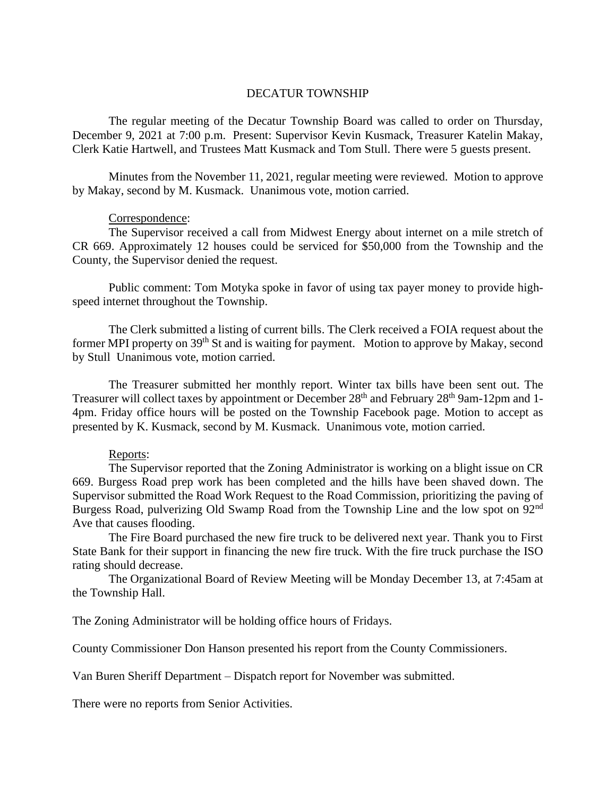## DECATUR TOWNSHIP

The regular meeting of the Decatur Township Board was called to order on Thursday, December 9, 2021 at 7:00 p.m. Present: Supervisor Kevin Kusmack, Treasurer Katelin Makay, Clerk Katie Hartwell, and Trustees Matt Kusmack and Tom Stull. There were 5 guests present.

Minutes from the November 11, 2021, regular meeting were reviewed. Motion to approve by Makay, second by M. Kusmack. Unanimous vote, motion carried.

## Correspondence:

The Supervisor received a call from Midwest Energy about internet on a mile stretch of CR 669. Approximately 12 houses could be serviced for \$50,000 from the Township and the County, the Supervisor denied the request.

Public comment: Tom Motyka spoke in favor of using tax payer money to provide highspeed internet throughout the Township.

The Clerk submitted a listing of current bills. The Clerk received a FOIA request about the former MPI property on 39<sup>th</sup> St and is waiting for payment. Motion to approve by Makay, second by Stull Unanimous vote, motion carried.

The Treasurer submitted her monthly report. Winter tax bills have been sent out. The Treasurer will collect taxes by appointment or December 28<sup>th</sup> and February 28<sup>th</sup> 9am-12pm and 1-4pm. Friday office hours will be posted on the Township Facebook page. Motion to accept as presented by K. Kusmack, second by M. Kusmack. Unanimous vote, motion carried.

## Reports:

The Supervisor reported that the Zoning Administrator is working on a blight issue on CR 669. Burgess Road prep work has been completed and the hills have been shaved down. The Supervisor submitted the Road Work Request to the Road Commission, prioritizing the paving of Burgess Road, pulverizing Old Swamp Road from the Township Line and the low spot on 92nd Ave that causes flooding.

The Fire Board purchased the new fire truck to be delivered next year. Thank you to First State Bank for their support in financing the new fire truck. With the fire truck purchase the ISO rating should decrease.

The Organizational Board of Review Meeting will be Monday December 13, at 7:45am at the Township Hall.

The Zoning Administrator will be holding office hours of Fridays.

County Commissioner Don Hanson presented his report from the County Commissioners.

Van Buren Sheriff Department – Dispatch report for November was submitted.

There were no reports from Senior Activities.